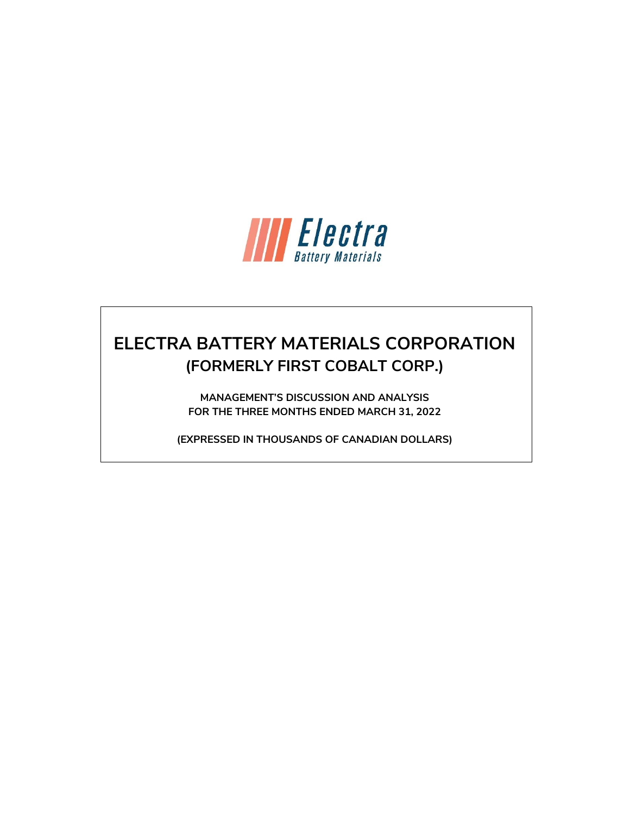

# **ELECTRA BATTERY MATERIALS CORPORATION (FORMERLY FIRST COBALT CORP.)**

**MANAGEMENT'S DISCUSSION AND ANALYSIS FOR THE THREE MONTHS ENDED MARCH 31, 2022**

**(EXPRESSED IN THOUSANDS OF CANADIAN DOLLARS)**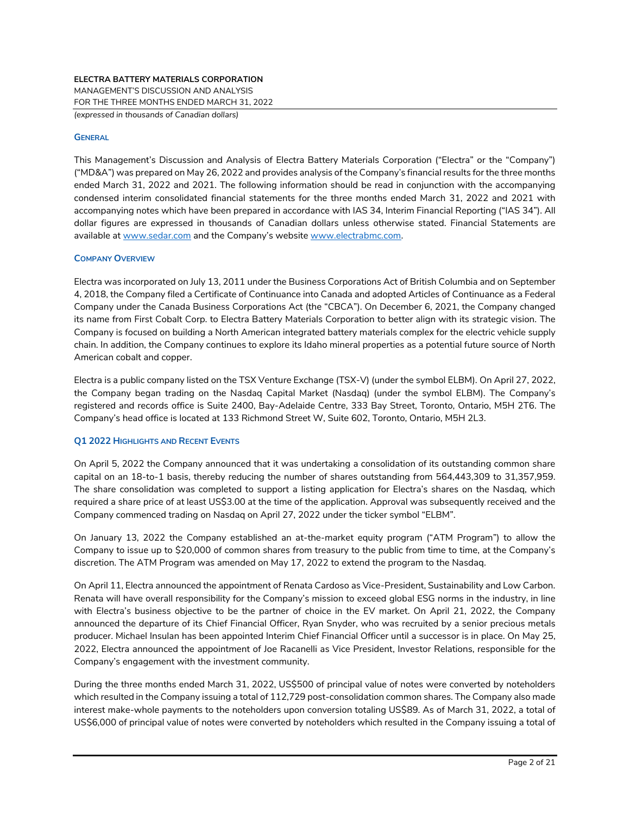*(expressed in thousands of Canadian dollars)*

#### **GENERAL**

This Management's Discussion and Analysis of Electra Battery Materials Corporation ("Electra" or the "Company") ("MD&A") was prepared on May 26, 2022 and provides analysis of the Company's financial results for the three months ended March 31, 2022 and 2021. The following information should be read in conjunction with the accompanying condensed interim consolidated financial statements for the three months ended March 31, 2022 and 2021 with accompanying notes which have been prepared in accordance with IAS 34, Interim Financial Reporting ("IAS 34"). All dollar figures are expressed in thousands of Canadian dollars unless otherwise stated. Financial Statements are available a[t www.sedar.com](http://www.sedar.com/) and the Company's website [www.electrabmc.com.](http://www.electrabmc.com/)

#### **COMPANY OVERVIEW**

Electra was incorporated on July 13, 2011 under the Business Corporations Act of British Columbia and on September 4, 2018, the Company filed a Certificate of Continuance into Canada and adopted Articles of Continuance as a Federal Company under the Canada Business Corporations Act (the "CBCA"). On December 6, 2021, the Company changed its name from First Cobalt Corp. to Electra Battery Materials Corporation to better align with its strategic vision. The Company is focused on building a North American integrated battery materials complex for the electric vehicle supply chain. In addition, the Company continues to explore its Idaho mineral properties as a potential future source of North American cobalt and copper.

Electra is a public company listed on the TSX Venture Exchange (TSX-V) (under the symbol ELBM). On April 27, 2022, the Company began trading on the Nasdaq Capital Market (Nasdaq) (under the symbol ELBM). The Company's registered and records office is Suite 2400, Bay-Adelaide Centre, 333 Bay Street, Toronto, Ontario, M5H 2T6. The Company's head office is located at 133 Richmond Street W, Suite 602, Toronto, Ontario, M5H 2L3.

## **Q1 2022 HIGHLIGHTS AND RECENT EVENTS**

On April 5, 2022 the Company announced that it was undertaking a consolidation of its outstanding common share capital on an 18-to-1 basis, thereby reducing the number of shares outstanding from 564,443,309 to 31,357,959. The share consolidation was completed to support a listing application for Electra's shares on the Nasdaq, which required a share price of at least US\$3.00 at the time of the application. Approval was subsequently received and the Company commenced trading on Nasdaq on April 27, 2022 under the ticker symbol "ELBM".

On January 13, 2022 the Company established an at-the-market equity program ("ATM Program") to allow the Company to issue up to \$20,000 of common shares from treasury to the public from time to time, at the Company's discretion. The ATM Program was amended on May 17, 2022 to extend the program to the Nasdaq.

On April 11, Electra announced the appointment of Renata Cardoso as Vice-President, Sustainability and Low Carbon. Renata will have overall responsibility for the Company's mission to exceed global ESG norms in the industry, in line with Electra's business objective to be the partner of choice in the EV market. On April 21, 2022, the Company announced the departure of its Chief Financial Officer, Ryan Snyder, who was recruited by a senior precious metals producer. Michael Insulan has been appointed Interim Chief Financial Officer until a successor is in place. On May 25, 2022, Electra announced the appointment of Joe Racanelli as Vice President, Investor Relations, responsible for the Company's engagement with the investment community.

During the three months ended March 31, 2022, US\$500 of principal value of notes were converted by noteholders which resulted in the Company issuing a total of 112,729 post-consolidation common shares. The Company also made interest make-whole payments to the noteholders upon conversion totaling US\$89. As of March 31, 2022, a total of US\$6,000 of principal value of notes were converted by noteholders which resulted in the Company issuing a total of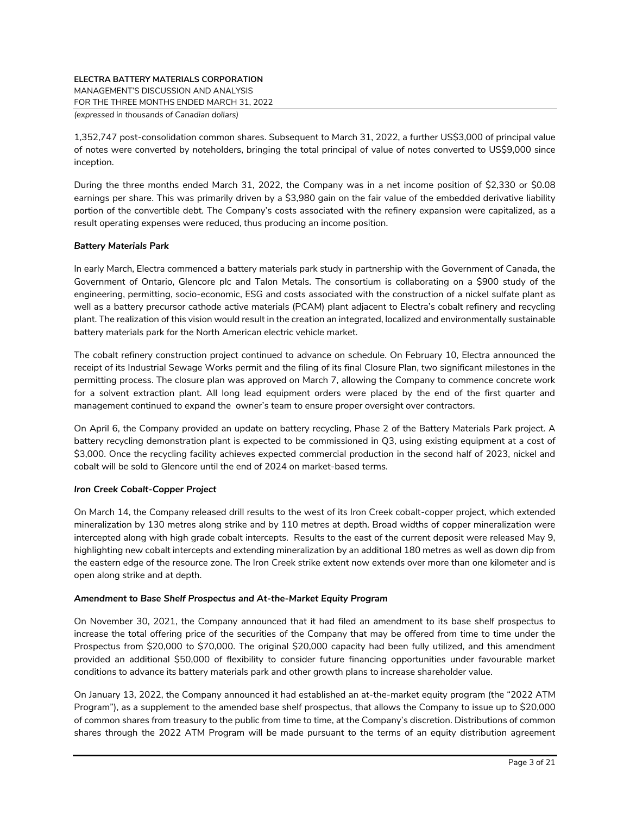MANAGEMENT'S DISCUSSION AND ANALYSIS

FOR THE THREE MONTHS ENDED MARCH 31, 2022

*(expressed in thousands of Canadian dollars)*

1,352,747 post-consolidation common shares. Subsequent to March 31, 2022, a further US\$3,000 of principal value of notes were converted by noteholders, bringing the total principal of value of notes converted to US\$9,000 since inception.

During the three months ended March 31, 2022, the Company was in a net income position of \$2,330 or \$0.08 earnings per share. This was primarily driven by a \$3,980 gain on the fair value of the embedded derivative liability portion of the convertible debt. The Company's costs associated with the refinery expansion were capitalized, as a result operating expenses were reduced, thus producing an income position.

# *Battery Materials Park*

In early March, Electra commenced a battery materials park study in partnership with the Government of Canada, the Government of Ontario, Glencore plc and Talon Metals. The consortium is collaborating on a \$900 study of the engineering, permitting, socio-economic, ESG and costs associated with the construction of a nickel sulfate plant as well as a battery precursor cathode active materials (PCAM) plant adjacent to Electra's cobalt refinery and recycling plant. The realization of this vision would result in the creation an integrated, localized and environmentally sustainable battery materials park for the North American electric vehicle market.

The cobalt refinery construction project continued to advance on schedule. On February 10, Electra announced the receipt of its Industrial Sewage Works permit and the filing of its final Closure Plan, two significant milestones in the permitting process. The closure plan was approved on March 7, allowing the Company to commence concrete work for a solvent extraction plant. All long lead equipment orders were placed by the end of the first quarter and management continued to expand the owner's team to ensure proper oversight over contractors.

On April 6, the Company provided an update on battery recycling, Phase 2 of the Battery Materials Park project. A battery recycling demonstration plant is expected to be commissioned in Q3, using existing equipment at a cost of \$3,000. Once the recycling facility achieves expected commercial production in the second half of 2023, nickel and cobalt will be sold to Glencore until the end of 2024 on market-based terms.

# *Iron Creek Cobalt-Copper Project*

On March 14, the Company released drill results to the west of its Iron Creek cobalt-copper project, which extended mineralization by 130 metres along strike and by 110 metres at depth. Broad widths of copper mineralization were intercepted along with high grade cobalt intercepts. Results to the east of the current deposit were released May 9, highlighting new cobalt intercepts and extending mineralization by an additional 180 metres as well as down dip from the eastern edge of the resource zone. The Iron Creek strike extent now extends over more than one kilometer and is open along strike and at depth.

# *Amendment to Base Shelf Prospectus and At-the-Market Equity Program*

On November 30, 2021, the Company announced that it had filed an amendment to its base shelf prospectus to increase the total offering price of the securities of the Company that may be offered from time to time under the Prospectus from \$20,000 to \$70,000. The original \$20,000 capacity had been fully utilized, and this amendment provided an additional \$50,000 of flexibility to consider future financing opportunities under favourable market conditions to advance its battery materials park and other growth plans to increase shareholder value.

On January 13, 2022, the Company announced it had established an at-the-market equity program (the "2022 ATM Program"), as a supplement to the amended base shelf prospectus, that allows the Company to issue up to \$20,000 of common shares from treasury to the public from time to time, at the Company's discretion. Distributions of common shares through the 2022 ATM Program will be made pursuant to the terms of an equity distribution agreement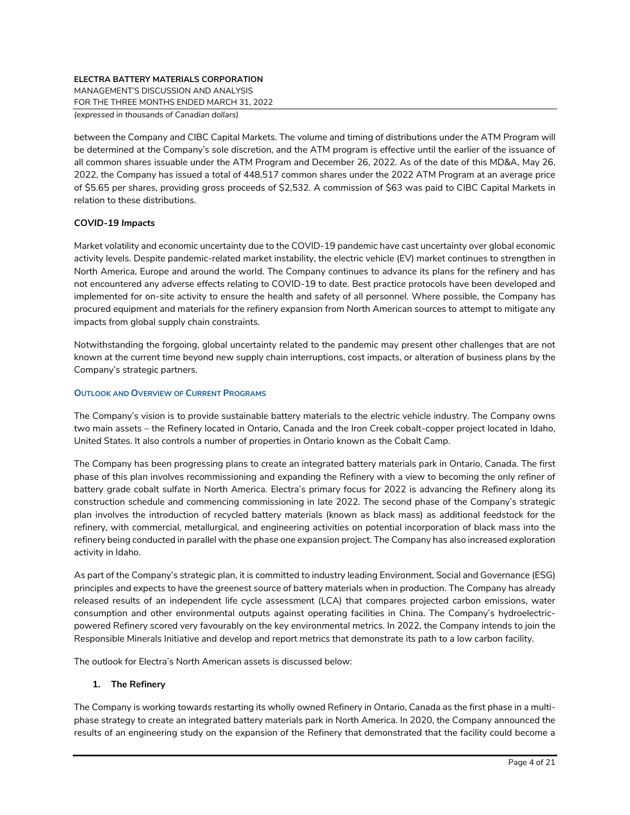MANAGEMENT'S DISCUSSION AND ANALYSIS

FOR THE THREE MONTHS ENDED MARCH 31, 2022

*(expressed in thousands of Canadian dollars)*

between the Company and CIBC Capital Markets. The volume and timing of distributions under the ATM Program will be determined at the Company's sole discretion, and the ATM program is effective until the earlier of the issuance of all common shares issuable under the ATM Program and December 26, 2022. As of the date of this MD&A, May 26, 2022, the Company has issued a total of 448,517 common shares under the 2022 ATM Program at an average price of \$5.65 per shares, providing gross proceeds of \$2,532. A commission of \$63 was paid to CIBC Capital Markets in relation to these distributions.

# *COVID-19 Impacts*

Market volatility and economic uncertainty due to the COVID-19 pandemic have cast uncertainty over global economic activity levels. Despite pandemic-related market instability, the electric vehicle (EV) market continues to strengthen in North America, Europe and around the world. The Company continues to advance its plans for the refinery and has not encountered any adverse effects relating to COVID-19 to date. Best practice protocols have been developed and implemented for on-site activity to ensure the health and safety of all personnel. Where possible, the Company has procured equipment and materials for the refinery expansion from North American sources to attempt to mitigate any impacts from global supply chain constraints.

Notwithstanding the forgoing, global uncertainty related to the pandemic may present other challenges that are not known at the current time beyond new supply chain interruptions, cost impacts, or alteration of business plans by the Company's strategic partners.

## **OUTLOOK AND OVERVIEW OF CURRENT PROGRAMS**

The Company's vision is to provide sustainable battery materials to the electric vehicle industry. The Company owns two main assets – the Refinery located in Ontario, Canada and the Iron Creek cobalt-copper project located in Idaho, United States. It also controls a number of properties in Ontario known as the Cobalt Camp.

The Company has been progressing plans to create an integrated battery materials park in Ontario, Canada. The first phase of this plan involves recommissioning and expanding the Refinery with a view to becoming the only refiner of battery grade cobalt sulfate in North America. Electra's primary focus for 2022 is advancing the Refinery along its construction schedule and commencing commissioning in late 2022. The second phase of the Company's strategic plan involves the introduction of recycled battery materials (known as black mass) as additional feedstock for the refinery, with commercial, metallurgical, and engineering activities on potential incorporation of black mass into the refinery being conducted in parallel with the phase one expansion project. The Company has also increased exploration activity in Idaho.

As part of the Company's strategic plan, it is committed to industry leading Environment, Social and Governance (ESG) principles and expects to have the greenest source of battery materials when in production. The Company has already released results of an independent life cycle assessment (LCA) that compares projected carbon emissions, water consumption and other environmental outputs against operating facilities in China. The Company's hydroelectricpowered Refinery scored very favourably on the key environmental metrics. In 2022, the Company intends to join the Responsible Minerals Initiative and develop and report metrics that demonstrate its path to a low carbon facility.

The outlook for Electra's North American assets is discussed below:

# **1. The Refinery**

The Company is working towards restarting its wholly owned Refinery in Ontario, Canada as the first phase in a multiphase strategy to create an integrated battery materials park in North America. In 2020, the Company announced the results of an engineering study on the expansion of the Refinery that demonstrated that the facility could become a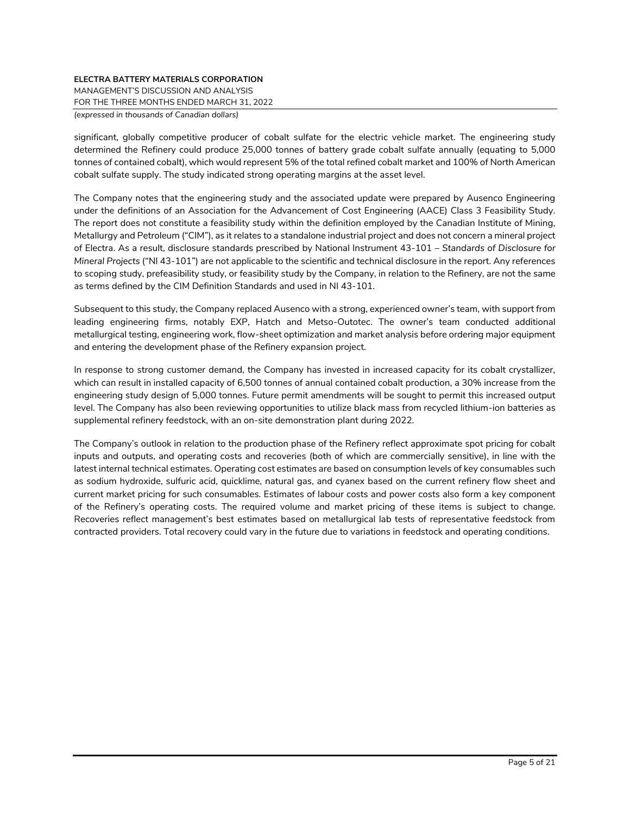MANAGEMENT'S DISCUSSION AND ANALYSIS

FOR THE THREE MONTHS ENDED MARCH 31, 2022

*(expressed in thousands of Canadian dollars)*

significant, globally competitive producer of cobalt sulfate for the electric vehicle market. The engineering study determined the Refinery could produce 25,000 tonnes of battery grade cobalt sulfate annually (equating to 5,000 tonnes of contained cobalt), which would represent 5% of the total refined cobalt market and 100% of North American cobalt sulfate supply. The study indicated strong operating margins at the asset level.

The Company notes that the engineering study and the associated update were prepared by Ausenco Engineering under the definitions of an Association for the Advancement of Cost Engineering (AACE) Class 3 Feasibility Study. The report does not constitute a feasibility study within the definition employed by the Canadian Institute of Mining, Metallurgy and Petroleum ("CIM"), as it relates to a standalone industrial project and does not concern a mineral project of Electra. As a result, disclosure standards prescribed by National Instrument 43-101 – *Standards of Disclosure for Mineral Projects* ("NI 43-101") are not applicable to the scientific and technical disclosure in the report. Any references to scoping study, prefeasibility study, or feasibility study by the Company, in relation to the Refinery, are not the same as terms defined by the CIM Definition Standards and used in NI 43-101.

Subsequent to this study, the Company replaced Ausenco with a strong, experienced owner's team, with support from leading engineering firms, notably EXP, Hatch and Metso-Outotec. The owner's team conducted additional metallurgical testing, engineering work, flow-sheet optimization and market analysis before ordering major equipment and entering the development phase of the Refinery expansion project.

In response to strong customer demand, the Company has invested in increased capacity for its cobalt crystallizer, which can result in installed capacity of 6,500 tonnes of annual contained cobalt production, a 30% increase from the engineering study design of 5,000 tonnes. Future permit amendments will be sought to permit this increased output level. The Company has also been reviewing opportunities to utilize black mass from recycled lithium-ion batteries as supplemental refinery feedstock, with an on-site demonstration plant during 2022.

The Company's outlook in relation to the production phase of the Refinery reflect approximate spot pricing for cobalt inputs and outputs, and operating costs and recoveries (both of which are commercially sensitive), in line with the latest internal technical estimates. Operating cost estimates are based on consumption levels of key consumables such as sodium hydroxide, sulfuric acid, quicklime, natural gas, and cyanex based on the current refinery flow sheet and current market pricing for such consumables. Estimates of labour costs and power costs also form a key component of the Refinery's operating costs. The required volume and market pricing of these items is subject to change. Recoveries reflect management's best estimates based on metallurgical lab tests of representative feedstock from contracted providers. Total recovery could vary in the future due to variations in feedstock and operating conditions.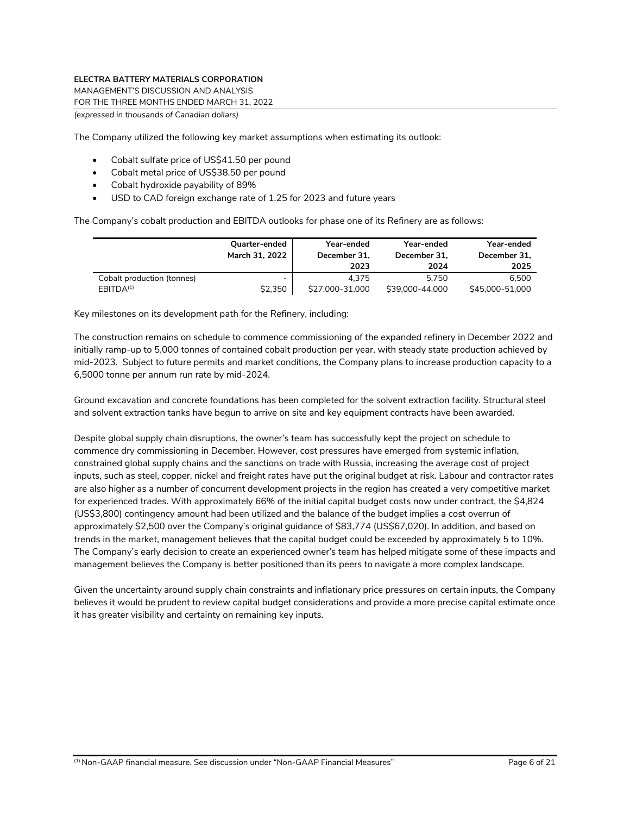MANAGEMENT'S DISCUSSION AND ANALYSIS

FOR THE THREE MONTHS ENDED MARCH 31, 2022

*(expressed in thousands of Canadian dollars)*

The Company utilized the following key market assumptions when estimating its outlook:

- Cobalt sulfate price of US\$41.50 per pound
- Cobalt metal price of US\$38.50 per pound
- Cobalt hydroxide payability of 89%
- USD to CAD foreign exchange rate of 1.25 for 2023 and future years

The Company's cobalt production and EBITDA outlooks for phase one of its Refinery are as follows:

|                            | Quarter-ended<br>March 31, 2022 | Year-ended<br>December 31.<br>2023 | Year-ended<br>December 31.<br>2024 | Year-ended<br>December 31.<br>2025 |
|----------------------------|---------------------------------|------------------------------------|------------------------------------|------------------------------------|
| Cobalt production (tonnes) | -                               | 4.375                              | 5.750                              | 6.500                              |
| EBITDA <sup>(1)</sup>      | \$2,350                         | \$27,000-31,000                    | \$39,000-44,000                    | \$45,000-51,000                    |

Key milestones on its development path for the Refinery, including:

The construction remains on schedule to commence commissioning of the expanded refinery in December 2022 and initially ramp-up to 5,000 tonnes of contained cobalt production per year, with steady state production achieved by mid-2023. Subject to future permits and market conditions, the Company plans to increase production capacity to a 6,5000 tonne per annum run rate by mid-2024.

Ground excavation and concrete foundations has been completed for the solvent extraction facility. Structural steel and solvent extraction tanks have begun to arrive on site and key equipment contracts have been awarded.

Despite global supply chain disruptions, the owner's team has successfully kept the project on schedule to commence dry commissioning in December. However, cost pressures have emerged from systemic inflation, constrained global supply chains and the sanctions on trade with Russia, increasing the average cost of project inputs, such as steel, copper, nickel and freight rates have put the original budget at risk. Labour and contractor rates are also higher as a number of concurrent development projects in the region has created a very competitive market for experienced trades. With approximately 66% of the initial capital budget costs now under contract, the \$4,824 (US\$3,800) contingency amount had been utilized and the balance of the budget implies a cost overrun of approximately \$2,500 over the Company's original guidance of \$83,774 (US\$67,020). In addition, and based on trends in the market, management believes that the capital budget could be exceeded by approximately 5 to 10%. The Company's early decision to create an experienced owner's team has helped mitigate some of these impacts and management believes the Company is better positioned than its peers to navigate a more complex landscape.

Given the uncertainty around supply chain constraints and inflationary price pressures on certain inputs, the Company believes it would be prudent to review capital budget considerations and provide a more precise capital estimate once it has greater visibility and certainty on remaining key inputs.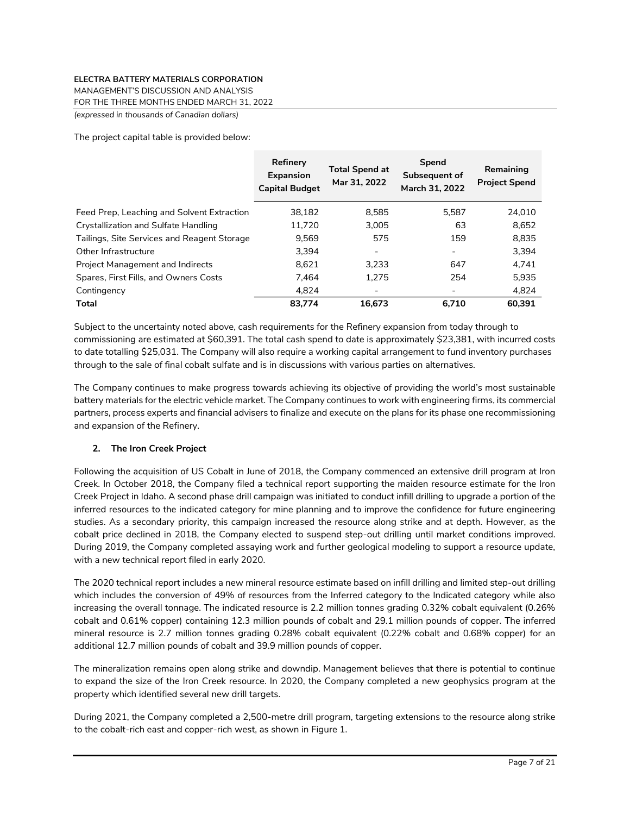MANAGEMENT'S DISCUSSION AND ANALYSIS

FOR THE THREE MONTHS ENDED MARCH 31, 2022

*(expressed in thousands of Canadian dollars)*

The project capital table is provided below:

|                                             | Refinery<br><b>Expansion</b><br><b>Capital Budget</b> | <b>Total Spend at</b><br>Mar 31, 2022 | Spend<br>Subsequent of<br>March 31, 2022 | Remaining<br><b>Project Spend</b> |
|---------------------------------------------|-------------------------------------------------------|---------------------------------------|------------------------------------------|-----------------------------------|
| Feed Prep, Leaching and Solvent Extraction  | 38.182                                                | 8.585                                 | 5.587                                    | 24.010                            |
| Crystallization and Sulfate Handling        | 11,720                                                | 3.005                                 | 63                                       | 8,652                             |
| Tailings, Site Services and Reagent Storage | 9.569                                                 | 575                                   | 159                                      | 8,835                             |
| Other Infrastructure                        | 3.394                                                 |                                       | ٠                                        | 3.394                             |
| <b>Project Management and Indirects</b>     | 8.621                                                 | 3.233                                 | 647                                      | 4.741                             |
| Spares, First Fills, and Owners Costs       | 7.464                                                 | 1.275                                 | 254                                      | 5.935                             |
| Contingency                                 | 4.824                                                 |                                       | -                                        | 4,824                             |
| Total                                       | 83.774                                                | 16.673                                | 6.710                                    | 60.391                            |

Subject to the uncertainty noted above, cash requirements for the Refinery expansion from today through to commissioning are estimated at \$60,391. The total cash spend to date is approximately \$23,381, with incurred costs to date totalling \$25,031. The Company will also require a working capital arrangement to fund inventory purchases through to the sale of final cobalt sulfate and is in discussions with various parties on alternatives.

The Company continues to make progress towards achieving its objective of providing the world's most sustainable battery materials for the electric vehicle market. The Company continues to work with engineering firms, its commercial partners, process experts and financial advisers to finalize and execute on the plans for its phase one recommissioning and expansion of the Refinery.

# **2. The Iron Creek Project**

Following the acquisition of US Cobalt in June of 2018, the Company commenced an extensive drill program at Iron Creek. In October 2018, the Company filed a technical report supporting the maiden resource estimate for the Iron Creek Project in Idaho. A second phase drill campaign was initiated to conduct infill drilling to upgrade a portion of the inferred resources to the indicated category for mine planning and to improve the confidence for future engineering studies. As a secondary priority, this campaign increased the resource along strike and at depth. However, as the cobalt price declined in 2018, the Company elected to suspend step-out drilling until market conditions improved. During 2019, the Company completed assaying work and further geological modeling to support a resource update, with a new technical report filed in early 2020.

The 2020 technical report includes a new mineral resource estimate based on infill drilling and limited step-out drilling which includes the conversion of 49% of resources from the Inferred category to the Indicated category while also increasing the overall tonnage. The indicated resource is 2.2 million tonnes grading 0.32% cobalt equivalent (0.26% cobalt and 0.61% copper) containing 12.3 million pounds of cobalt and 29.1 million pounds of copper. The inferred mineral resource is 2.7 million tonnes grading 0.28% cobalt equivalent (0.22% cobalt and 0.68% copper) for an additional 12.7 million pounds of cobalt and 39.9 million pounds of copper.

The mineralization remains open along strike and downdip. Management believes that there is potential to continue to expand the size of the Iron Creek resource. In 2020, the Company completed a new geophysics program at the property which identified several new drill targets.

During 2021, the Company completed a 2,500-metre drill program, targeting extensions to the resource along strike to the cobalt-rich east and copper-rich west, as shown in Figure 1.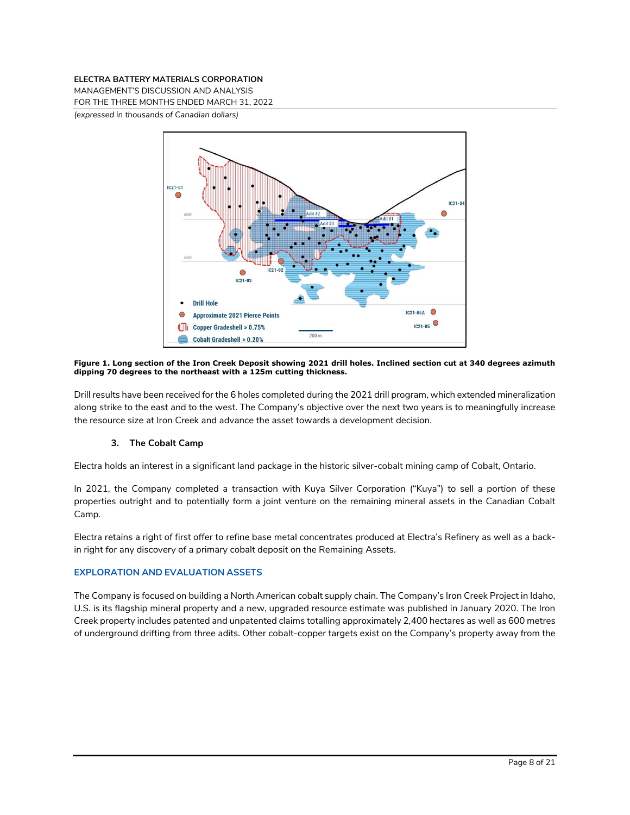MANAGEMENT'S DISCUSSION AND ANALYSIS

FOR THE THREE MONTHS ENDED MARCH 31, 2022

*(expressed in thousands of Canadian dollars)*



#### **Figure 1. Long section of the Iron Creek Deposit showing 2021 drill holes. Inclined section cut at 340 degrees azimuth dipping 70 degrees to the northeast with a 125m cutting thickness.**

Drill results have been received for the 6 holes completed during the 2021 drill program, which extended mineralization along strike to the east and to the west. The Company's objective over the next two years is to meaningfully increase the resource size at Iron Creek and advance the asset towards a development decision.

# **3. The Cobalt Camp**

Electra holds an interest in a significant land package in the historic silver-cobalt mining camp of Cobalt, Ontario.

In 2021, the Company completed a transaction with Kuya Silver Corporation ("Kuya") to sell a portion of these properties outright and to potentially form a joint venture on the remaining mineral assets in the Canadian Cobalt Camp.

Electra retains a right of first offer to refine base metal concentrates produced at Electra's Refinery as well as a backin right for any discovery of a primary cobalt deposit on the Remaining Assets.

# **EXPLORATION AND EVALUATION ASSETS**

The Company is focused on building a North American cobalt supply chain. The Company's Iron Creek Project in Idaho, U.S. is its flagship mineral property and a new, upgraded resource estimate was published in January 2020. The Iron Creek property includes patented and unpatented claims totalling approximately 2,400 hectares as well as 600 metres of underground drifting from three adits. Other cobalt-copper targets exist on the Company's property away from the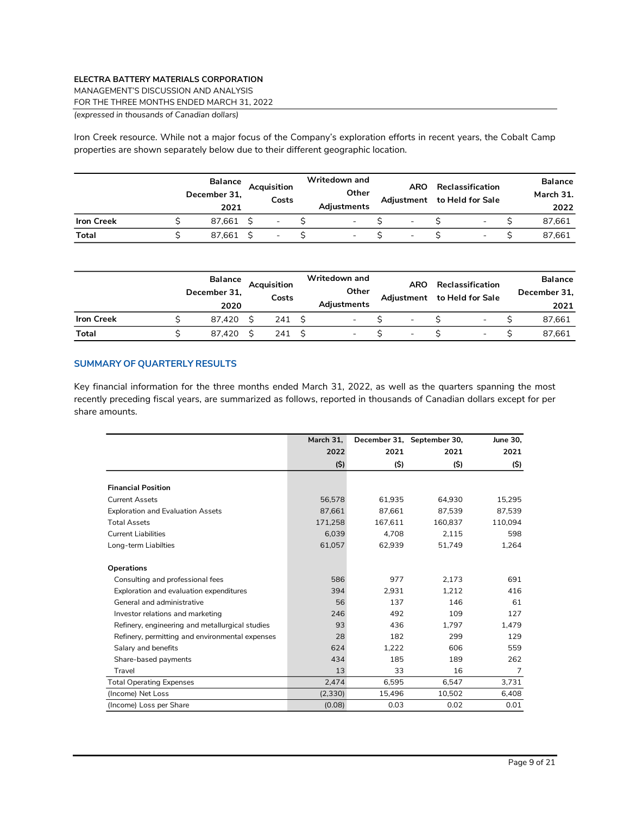MANAGEMENT'S DISCUSSION AND ANALYSIS

FOR THE THREE MONTHS ENDED MARCH 31, 2022

*(expressed in thousands of Canadian dollars)*

Iron Creek resource. While not a major focus of the Company's exploration efforts in recent years, the Cobalt Camp properties are shown separately below due to their different geographic location.

|                   | <b>Balance</b><br>December 31,<br>2021 | Acauisition<br>Costs     | Writedown and<br>Other<br>Adjustments | ARO<br>Adjustment        | Reclassification<br>to Held for Sale | <b>Balance</b><br>March 31.<br>2022 |
|-------------------|----------------------------------------|--------------------------|---------------------------------------|--------------------------|--------------------------------------|-------------------------------------|
| <b>Iron Creek</b> | 87.661                                 | $\overline{\phantom{a}}$ | $\overline{\phantom{0}}$              | $\overline{\phantom{a}}$ | $\overline{\phantom{0}}$             | 87,661                              |
| <b>Total</b>      | 87.661                                 | $\overline{\phantom{a}}$ | $\blacksquare$                        | $\overline{\phantom{a}}$ | -                                    | 87.661                              |

|                   | <b>Balance</b><br>December 31,<br>2020 | Acquisition<br>Costs | Writedown and<br>Other<br>Adjustments | <b>ARO</b><br>Adjustment | Reclassification<br>to Held for Sale | <b>Balance</b><br>December 31,<br>2021 |
|-------------------|----------------------------------------|----------------------|---------------------------------------|--------------------------|--------------------------------------|----------------------------------------|
| <b>Iron Creek</b> | 87.420                                 | 241                  | $\overline{\phantom{0}}$              | $\overline{\phantom{0}}$ | -                                    | 87,661                                 |
| Total             | 87.420                                 | 241                  | $\overline{\phantom{0}}$              | $\overline{\phantom{0}}$ |                                      | 87.661                                 |

## **SUMMARY OF QUARTERLY RESULTS**

Key financial information for the three months ended March 31, 2022, as well as the quarters spanning the most recently preceding fiscal years, are summarized as follows, reported in thousands of Canadian dollars except for per share amounts.

|                                                 | March 31. |         | December 31, September 30, | June 30, |
|-------------------------------------------------|-----------|---------|----------------------------|----------|
|                                                 | 2022      | 2021    | 2021                       | 2021     |
|                                                 | (5)       | (\$)    | (\$)                       | (S)      |
|                                                 |           |         |                            |          |
| <b>Financial Position</b>                       |           |         |                            |          |
| <b>Current Assets</b>                           | 56,578    | 61.935  | 64,930                     | 15,295   |
| <b>Exploration and Evaluation Assets</b>        | 87.661    | 87.661  | 87.539                     | 87,539   |
| <b>Total Assets</b>                             | 171,258   | 167,611 | 160,837                    | 110,094  |
| Current Liabilities                             | 6,039     | 4,708   | 2,115                      | 598      |
| Long-term Liabilties                            | 61,057    | 62,939  | 51,749                     | 1,264    |
|                                                 |           |         |                            |          |
| <b>Operations</b>                               |           |         |                            |          |
| Consulting and professional fees                | 586       | 977     | 2,173                      | 691      |
| Exploration and evaluation expenditures         | 394       | 2,931   | 1.212                      | 416      |
| General and administrative                      | 56        | 137     | 146                        | 61       |
| Investor relations and marketing                | 246       | 492     | 109                        | 127      |
| Refinery, engineering and metallurgical studies | 93        | 436     | 1.797                      | 1,479    |
| Refinery, permitting and environmental expenses | 28        | 182     | 299                        | 129      |
| Salary and benefits                             | 624       | 1.222   | 606                        | 559      |
| Share-based payments                            | 434       | 185     | 189                        | 262      |
| Travel                                          | 13        | 33      | 16                         | 7        |
| <b>Total Operating Expenses</b>                 | 2,474     | 6,595   | 6,547                      | 3,731    |
| (Income) Net Loss                               | (2,330)   | 15,496  | 10,502                     | 6,408    |
| (Income) Loss per Share                         | (0.08)    | 0.03    | 0.02                       | 0.01     |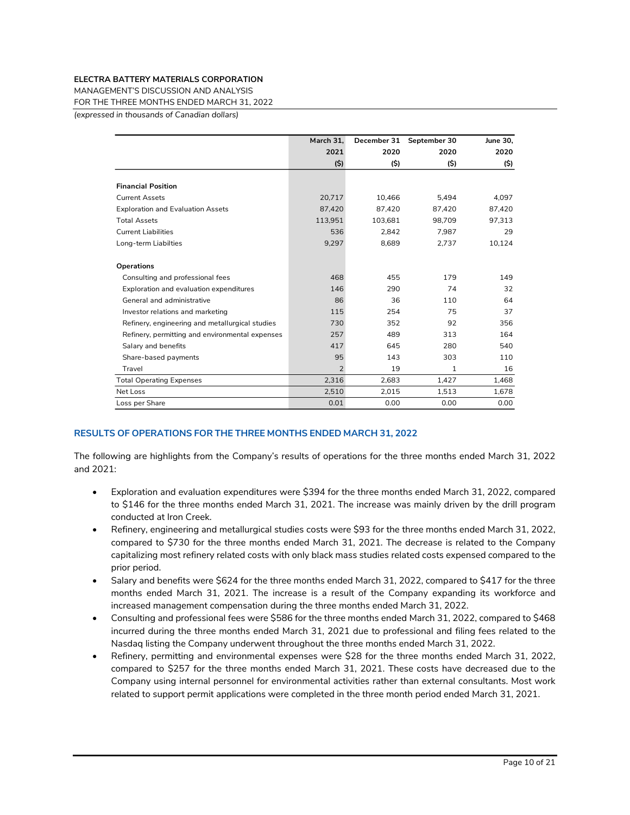MANAGEMENT'S DISCUSSION AND ANALYSIS

FOR THE THREE MONTHS ENDED MARCH 31, 2022

*(expressed in thousands of Canadian dollars)*

|                                                 | March 31.      | December 31 | September 30 | June 30. |
|-------------------------------------------------|----------------|-------------|--------------|----------|
|                                                 | 2021           | 2020        | 2020         | 2020     |
|                                                 | (\$)           | (\$)        | (\$)         | (\$)     |
|                                                 |                |             |              |          |
| <b>Financial Position</b>                       |                |             |              |          |
| <b>Current Assets</b>                           | 20,717         | 10,466      | 5,494        | 4,097    |
| <b>Exploration and Evaluation Assets</b>        | 87.420         | 87.420      | 87.420       | 87,420   |
| <b>Total Assets</b>                             | 113,951        | 103,681     | 98,709       | 97,313   |
| <b>Current Liabilities</b>                      | 536            | 2.842       | 7,987        | 29       |
| Long-term Liabilties                            | 9,297          | 8,689       | 2,737        | 10,124   |
|                                                 |                |             |              |          |
| <b>Operations</b>                               |                |             |              |          |
| Consulting and professional fees                | 468            | 455         | 179          | 149      |
| Exploration and evaluation expenditures         | 146            | 290         | 74           | 32       |
| General and administrative                      | 86             | 36          | 110          | 64       |
| Investor relations and marketing                | 115            | 254         | 75           | 37       |
| Refinery, engineering and metallurgical studies | 730            | 352         | 92           | 356      |
| Refinery, permitting and environmental expenses | 257            | 489         | 313          | 164      |
| Salary and benefits                             | 417            | 645         | 280          | 540      |
| Share-based payments                            | 95             | 143         | 303          | 110      |
| Travel                                          | $\overline{2}$ | 19          | 1            | 16       |
| <b>Total Operating Expenses</b>                 | 2,316          | 2,683       | 1,427        | 1,468    |
| Net Loss                                        | 2,510          | 2,015       | 1,513        | 1,678    |
| Loss per Share                                  | 0.01           | 0.00        | 0.00         | 0.00     |

## **RESULTS OF OPERATIONS FOR THE THREE MONTHS ENDED MARCH 31, 2022**

The following are highlights from the Company's results of operations for the three months ended March 31, 2022 and 2021:

- Exploration and evaluation expenditures were \$394 for the three months ended March 31, 2022, compared to \$146 for the three months ended March 31, 2021. The increase was mainly driven by the drill program conducted at Iron Creek.
- Refinery, engineering and metallurgical studies costs were \$93 for the three months ended March 31, 2022, compared to \$730 for the three months ended March 31, 2021. The decrease is related to the Company capitalizing most refinery related costs with only black mass studies related costs expensed compared to the prior period.
- Salary and benefits were \$624 for the three months ended March 31, 2022, compared to \$417 for the three months ended March 31, 2021. The increase is a result of the Company expanding its workforce and increased management compensation during the three months ended March 31, 2022.
- Consulting and professional fees were \$586 for the three months ended March 31, 2022, compared to \$468 incurred during the three months ended March 31, 2021 due to professional and filing fees related to the Nasdaq listing the Company underwent throughout the three months ended March 31, 2022.
- Refinery, permitting and environmental expenses were \$28 for the three months ended March 31, 2022, compared to \$257 for the three months ended March 31, 2021. These costs have decreased due to the Company using internal personnel for environmental activities rather than external consultants. Most work related to support permit applications were completed in the three month period ended March 31, 2021.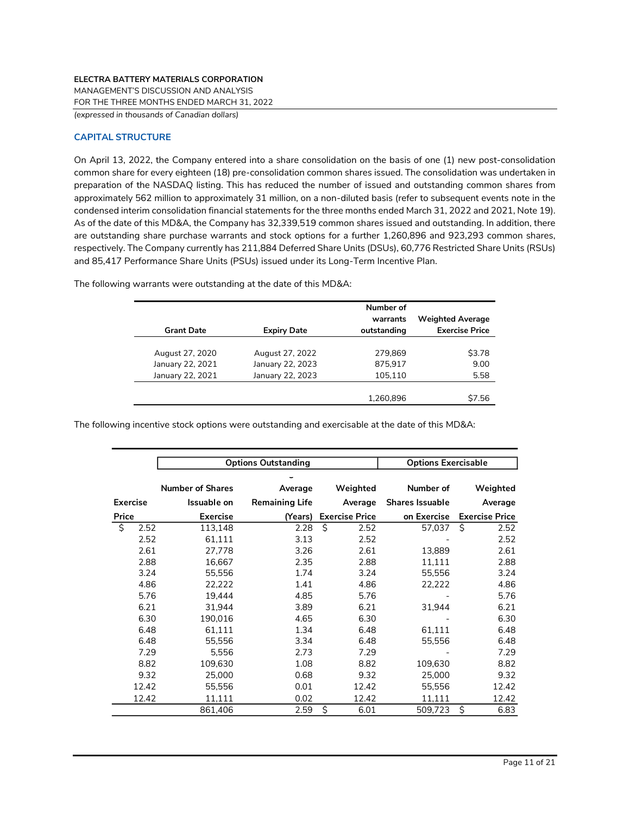MANAGEMENT'S DISCUSSION AND ANALYSIS

FOR THE THREE MONTHS ENDED MARCH 31, 2022

*(expressed in thousands of Canadian dollars)*

# **CAPITAL STRUCTURE**

On April 13, 2022, the Company entered into a share consolidation on the basis of one (1) new post-consolidation common share for every eighteen (18) pre-consolidation common shares issued. The consolidation was undertaken in preparation of the NASDAQ listing. This has reduced the number of issued and outstanding common shares from approximately 562 million to approximately 31 million, on a non-diluted basis (refer to subsequent events note in the condensed interim consolidation financial statements for the three months ended March 31, 2022 and 2021, Note 19). As of the date of this MD&A, the Company has 32,339,519 common shares issued and outstanding. In addition, there are outstanding share purchase warrants and stock options for a further 1,260,896 and 923,293 common shares, respectively. The Company currently has 211,884 Deferred Share Units (DSUs), 60,776 Restricted Share Units (RSUs) and 85,417 Performance Share Units (PSUs) issued under its Long-Term Incentive Plan.

|                   |                    | Number of   |                         |
|-------------------|--------------------|-------------|-------------------------|
|                   |                    | warrants    | <b>Weighted Average</b> |
| <b>Grant Date</b> | <b>Expiry Date</b> | outstanding | <b>Exercise Price</b>   |
|                   |                    |             |                         |
| August 27, 2020   | August 27, 2022    | 279.869     | \$3.78                  |
| January 22, 2021  | January 22, 2023   | 875.917     | 9.00                    |
| January 22, 2021  | January 22, 2023   | 105,110     | 5.58                    |
|                   |                    |             |                         |
|                   |                    | 1.260.896   | \$7.56                  |

The following warrants were outstanding at the date of this MD&A:

The following incentive stock options were outstanding and exercisable at the date of this MD&A:

|                 | <b>Options Outstanding</b> | <b>Options Exercisable</b> |                       |                        |                       |
|-----------------|----------------------------|----------------------------|-----------------------|------------------------|-----------------------|
|                 |                            |                            |                       |                        |                       |
|                 | <b>Number of Shares</b>    | Average                    | Weighted              | Number of              | Weighted              |
| <b>Exercise</b> | Issuable on                | <b>Remaining Life</b>      | Average               | <b>Shares Issuable</b> | Average               |
| Price           | <b>Exercise</b>            | (Years)                    | <b>Exercise Price</b> | on Exercise            | <b>Exercise Price</b> |
| ς,<br>2.52      | 113,148                    | 2.28                       | Ś.<br>2.52            | 57.037                 | Ŝ.<br>2.52            |
| 2.52            | 61,111                     | 3.13                       | 2.52                  |                        | 2.52                  |
| 2.61            | 27,778                     | 3.26                       | 2.61                  | 13,889                 | 2.61                  |
| 2.88            | 16,667                     | 2.35                       | 2.88                  | 11,111                 | 2.88                  |
| 3.24            | 55,556                     | 1.74                       | 3.24                  | 55,556                 | 3.24                  |
| 4.86            | 22,222                     | 1.41                       | 4.86                  | 22,222                 | 4.86                  |
| 5.76            | 19.444                     | 4.85                       | 5.76                  |                        | 5.76                  |
| 6.21            | 31.944                     | 3.89                       | 6.21                  | 31.944                 | 6.21                  |
| 6.30            | 190,016                    | 4.65                       | 6.30                  |                        | 6.30                  |
| 6.48            | 61,111                     | 1.34                       | 6.48                  | 61,111                 | 6.48                  |
| 6.48            | 55,556                     | 3.34                       | 6.48                  | 55,556                 | 6.48                  |
| 7.29            | 5,556                      | 2.73                       | 7.29                  |                        | 7.29                  |
| 8.82            | 109,630                    | 1.08                       | 8.82                  | 109,630                | 8.82                  |
| 9.32            | 25,000                     | 0.68                       | 9.32                  | 25,000                 | 9.32                  |
| 12.42           | 55,556                     | 0.01                       | 12.42                 | 55,556                 | 12.42                 |
| 12.42           | 11,111                     | 0.02                       | 12.42                 | 11,111                 | 12.42                 |
|                 | 861,406                    | 2.59                       | \$<br>6.01            | 509,723                | \$<br>6.83            |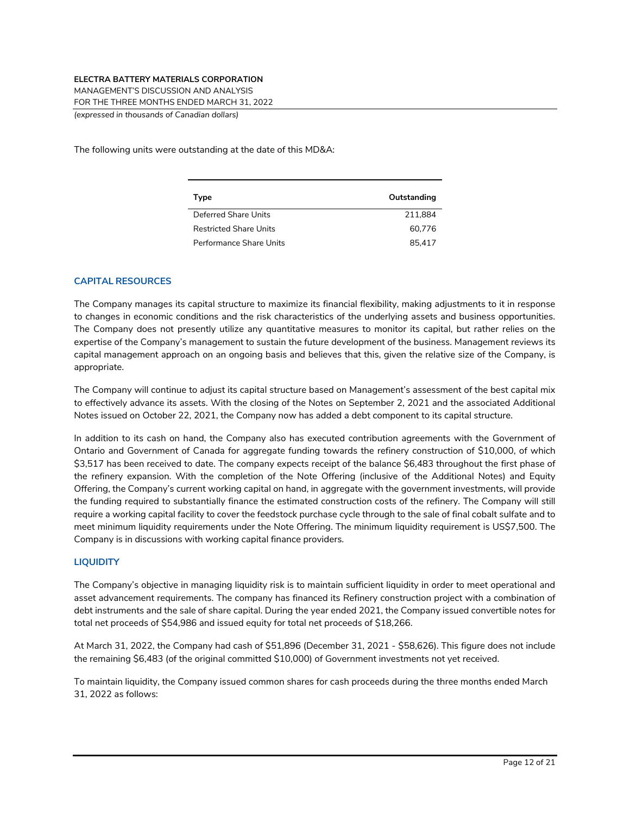MANAGEMENT'S DISCUSSION AND ANALYSIS

FOR THE THREE MONTHS ENDED MARCH 31, 2022

*(expressed in thousands of Canadian dollars)*

The following units were outstanding at the date of this MD&A:

| Type                          | Outstanding |
|-------------------------------|-------------|
| Deferred Share Units          | 211.884     |
| <b>Restricted Share Units</b> | 60.776      |
| Performance Share Units       | 85.417      |

## **CAPITAL RESOURCES**

The Company manages its capital structure to maximize its financial flexibility, making adjustments to it in response to changes in economic conditions and the risk characteristics of the underlying assets and business opportunities. The Company does not presently utilize any quantitative measures to monitor its capital, but rather relies on the expertise of the Company's management to sustain the future development of the business. Management reviews its capital management approach on an ongoing basis and believes that this, given the relative size of the Company, is appropriate.

The Company will continue to adjust its capital structure based on Management's assessment of the best capital mix to effectively advance its assets. With the closing of the Notes on September 2, 2021 and the associated Additional Notes issued on October 22, 2021, the Company now has added a debt component to its capital structure.

In addition to its cash on hand, the Company also has executed contribution agreements with the Government of Ontario and Government of Canada for aggregate funding towards the refinery construction of \$10,000, of which \$3,517 has been received to date. The company expects receipt of the balance \$6,483 throughout the first phase of the refinery expansion. With the completion of the Note Offering (inclusive of the Additional Notes) and Equity Offering, the Company's current working capital on hand, in aggregate with the government investments, will provide the funding required to substantially finance the estimated construction costs of the refinery. The Company will still require a working capital facility to cover the feedstock purchase cycle through to the sale of final cobalt sulfate and to meet minimum liquidity requirements under the Note Offering. The minimum liquidity requirement is US\$7,500. The Company is in discussions with working capital finance providers.

## **LIQUIDITY**

The Company's objective in managing liquidity risk is to maintain sufficient liquidity in order to meet operational and asset advancement requirements. The company has financed its Refinery construction project with a combination of debt instruments and the sale of share capital. During the year ended 2021, the Company issued convertible notes for total net proceeds of \$54,986 and issued equity for total net proceeds of \$18,266.

At March 31, 2022, the Company had cash of \$51,896 (December 31, 2021 - \$58,626). This figure does not include the remaining \$6,483 (of the original committed \$10,000) of Government investments not yet received.

To maintain liquidity, the Company issued common shares for cash proceeds during the three months ended March 31, 2022 as follows: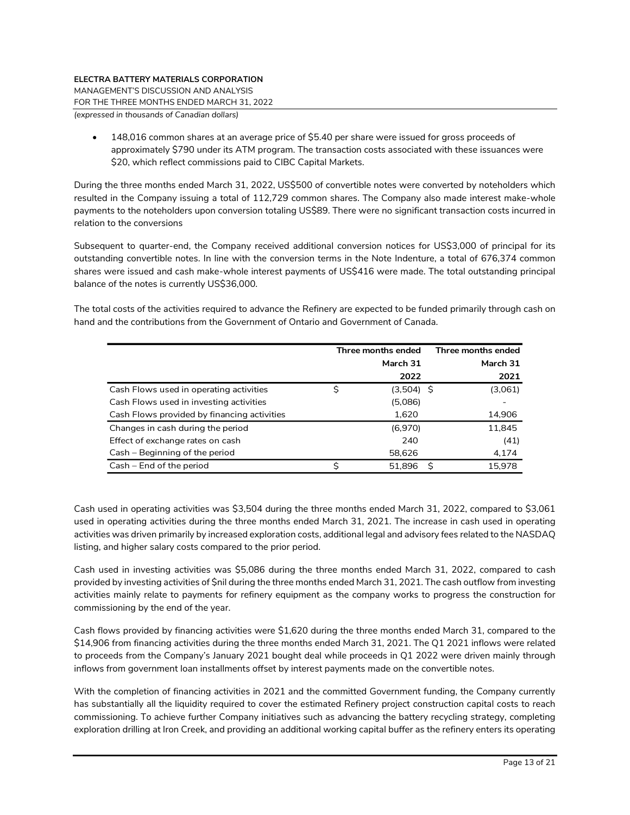MANAGEMENT'S DISCUSSION AND ANALYSIS

FOR THE THREE MONTHS ENDED MARCH 31, 2022

*(expressed in thousands of Canadian dollars)*

• 148,016 common shares at an average price of \$5.40 per share were issued for gross proceeds of approximately \$790 under its ATM program. The transaction costs associated with these issuances were \$20, which reflect commissions paid to CIBC Capital Markets.

During the three months ended March 31, 2022, US\$500 of convertible notes were converted by noteholders which resulted in the Company issuing a total of 112,729 common shares. The Company also made interest make-whole payments to the noteholders upon conversion totaling US\$89. There were no significant transaction costs incurred in relation to the conversions

Subsequent to quarter-end, the Company received additional conversion notices for US\$3,000 of principal for its outstanding convertible notes. In line with the conversion terms in the Note Indenture, a total of 676,374 common shares were issued and cash make-whole interest payments of US\$416 were made. The total outstanding principal balance of the notes is currently US\$36,000.

The total costs of the activities required to advance the Refinery are expected to be funded primarily through cash on hand and the contributions from the Government of Ontario and Government of Canada.

|                                             | Three months ended | Three months ended |
|---------------------------------------------|--------------------|--------------------|
|                                             | March 31           | March 31           |
|                                             | 2022               | 2021               |
| Cash Flows used in operating activities     | $(3,504)$ \$       | (3,061)            |
| Cash Flows used in investing activities     | (5,086)            |                    |
| Cash Flows provided by financing activities | 1,620              | 14,906             |
| Changes in cash during the period           | (6,970)            | 11,845             |
| Effect of exchange rates on cash            | 240                | (41)               |
| Cash – Beginning of the period              | 58.626             | 4,174              |
| Cash – End of the period                    | 51.896             | 15.978<br>S        |

Cash used in operating activities was \$3,504 during the three months ended March 31, 2022, compared to \$3,061 used in operating activities during the three months ended March 31, 2021. The increase in cash used in operating activities was driven primarily by increased exploration costs, additional legal and advisory fees related to the NASDAQ listing, and higher salary costs compared to the prior period.

Cash used in investing activities was \$5,086 during the three months ended March 31, 2022, compared to cash provided by investing activities of \$nil during the three months ended March 31, 2021. The cash outflow from investing activities mainly relate to payments for refinery equipment as the company works to progress the construction for commissioning by the end of the year.

Cash flows provided by financing activities were \$1,620 during the three months ended March 31, compared to the \$14,906 from financing activities during the three months ended March 31, 2021. The Q1 2021 inflows were related to proceeds from the Company's January 2021 bought deal while proceeds in Q1 2022 were driven mainly through inflows from government loan installments offset by interest payments made on the convertible notes.

With the completion of financing activities in 2021 and the committed Government funding, the Company currently has substantially all the liquidity required to cover the estimated Refinery project construction capital costs to reach commissioning. To achieve further Company initiatives such as advancing the battery recycling strategy, completing exploration drilling at Iron Creek, and providing an additional working capital buffer as the refinery enters its operating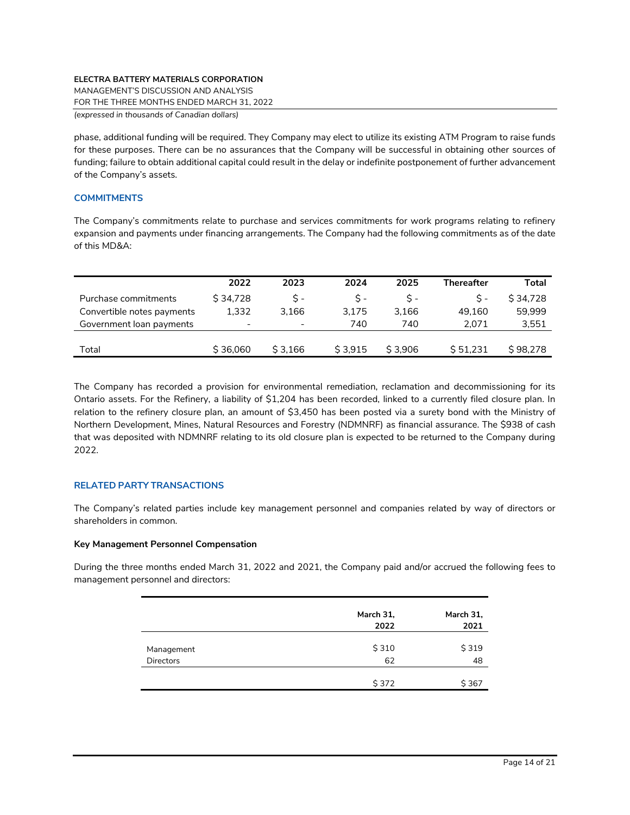MANAGEMENT'S DISCUSSION AND ANALYSIS

FOR THE THREE MONTHS ENDED MARCH 31, 2022

*(expressed in thousands of Canadian dollars)*

phase, additional funding will be required. They Company may elect to utilize its existing ATM Program to raise funds for these purposes. There can be no assurances that the Company will be successful in obtaining other sources of funding; failure to obtain additional capital could result in the delay or indefinite postponement of further advancement of the Company's assets.

## **COMMITMENTS**

The Company's commitments relate to purchase and services commitments for work programs relating to refinery expansion and payments under financing arrangements. The Company had the following commitments as of the date of this MD&A:

|                            | 2022                     | 2023                     | 2024    | 2025    | <b>Thereafter</b> | Total    |
|----------------------------|--------------------------|--------------------------|---------|---------|-------------------|----------|
| Purchase commitments       | \$34,728                 | $S -$                    | S -     | S -     | $S -$             | S 34.728 |
| Convertible notes payments | 1.332                    | 3.166                    | 3.175   | 3.166   | 49.160            | 59.999   |
| Government loan payments   | $\overline{\phantom{a}}$ | $\overline{\phantom{0}}$ | 740     | 740     | 2.071             | 3,551    |
|                            |                          |                          |         |         |                   |          |
| Total                      | \$36,060                 | \$3.166                  | \$3.915 | \$3.906 | \$51.231          | \$98,278 |

The Company has recorded a provision for environmental remediation, reclamation and decommissioning for its Ontario assets. For the Refinery, a liability of \$1,204 has been recorded, linked to a currently filed closure plan. In relation to the refinery closure plan, an amount of \$3,450 has been posted via a surety bond with the Ministry of Northern Development, Mines, Natural Resources and Forestry (NDMNRF) as financial assurance. The \$938 of cash that was deposited with NDMNRF relating to its old closure plan is expected to be returned to the Company during 2022.

## **RELATED PARTY TRANSACTIONS**

The Company's related parties include key management personnel and companies related by way of directors or shareholders in common.

## **Key Management Personnel Compensation**

During the three months ended March 31, 2022 and 2021, the Company paid and/or accrued the following fees to management personnel and directors:

|                  | March 31,<br>2022 | March 31,<br>2021 |
|------------------|-------------------|-------------------|
| Management       | \$310             | \$319             |
| <b>Directors</b> | 62                | 48                |
|                  | \$372             | \$367             |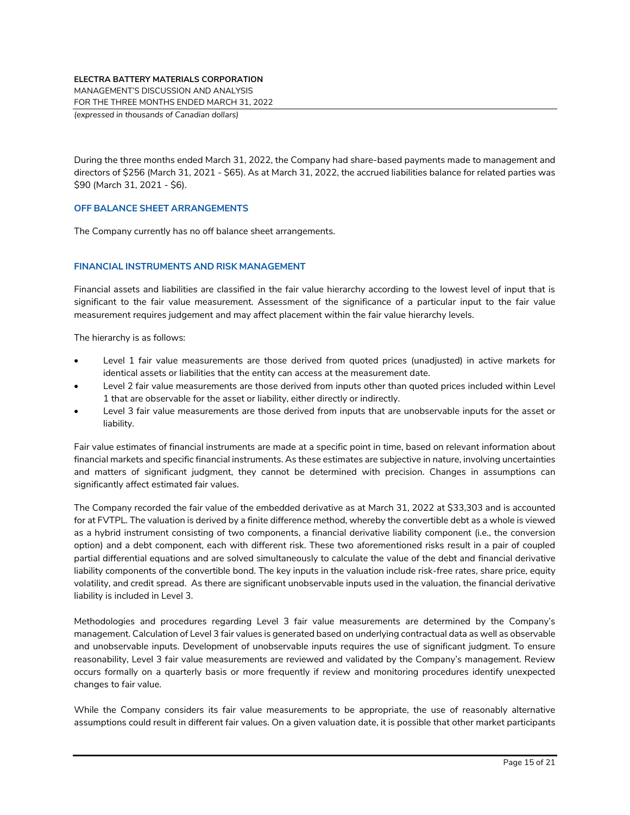MANAGEMENT'S DISCUSSION AND ANALYSIS

FOR THE THREE MONTHS ENDED MARCH 31, 2022

*(expressed in thousands of Canadian dollars)*

During the three months ended March 31, 2022, the Company had share-based payments made to management and directors of \$256 (March 31, 2021 - \$65). As at March 31, 2022, the accrued liabilities balance for related parties was \$90 (March 31, 2021 - \$6).

## **OFF BALANCE SHEET ARRANGEMENTS**

The Company currently has no off balance sheet arrangements.

## **FINANCIAL INSTRUMENTS AND RISK MANAGEMENT**

Financial assets and liabilities are classified in the fair value hierarchy according to the lowest level of input that is significant to the fair value measurement. Assessment of the significance of a particular input to the fair value measurement requires judgement and may affect placement within the fair value hierarchy levels.

The hierarchy is as follows:

- Level 1 fair value measurements are those derived from quoted prices (unadjusted) in active markets for identical assets or liabilities that the entity can access at the measurement date.
- Level 2 fair value measurements are those derived from inputs other than quoted prices included within Level 1 that are observable for the asset or liability, either directly or indirectly.
- Level 3 fair value measurements are those derived from inputs that are unobservable inputs for the asset or liability.

Fair value estimates of financial instruments are made at a specific point in time, based on relevant information about financial markets and specific financial instruments. As these estimates are subjective in nature, involving uncertainties and matters of significant judgment, they cannot be determined with precision. Changes in assumptions can significantly affect estimated fair values.

The Company recorded the fair value of the embedded derivative as at March 31, 2022 at \$33,303 and is accounted for at FVTPL. The valuation is derived by a finite difference method, whereby the convertible debt as a whole is viewed as a hybrid instrument consisting of two components, a financial derivative liability component (i.e., the conversion option) and a debt component, each with different risk. These two aforementioned risks result in a pair of coupled partial differential equations and are solved simultaneously to calculate the value of the debt and financial derivative liability components of the convertible bond. The key inputs in the valuation include risk-free rates, share price, equity volatility, and credit spread. As there are significant unobservable inputs used in the valuation, the financial derivative liability is included in Level 3.

Methodologies and procedures regarding Level 3 fair value measurements are determined by the Company's management. Calculation of Level 3 fair values is generated based on underlying contractual data as well as observable and unobservable inputs. Development of unobservable inputs requires the use of significant judgment. To ensure reasonability, Level 3 fair value measurements are reviewed and validated by the Company's management. Review occurs formally on a quarterly basis or more frequently if review and monitoring procedures identify unexpected changes to fair value.

While the Company considers its fair value measurements to be appropriate, the use of reasonably alternative assumptions could result in different fair values. On a given valuation date, it is possible that other market participants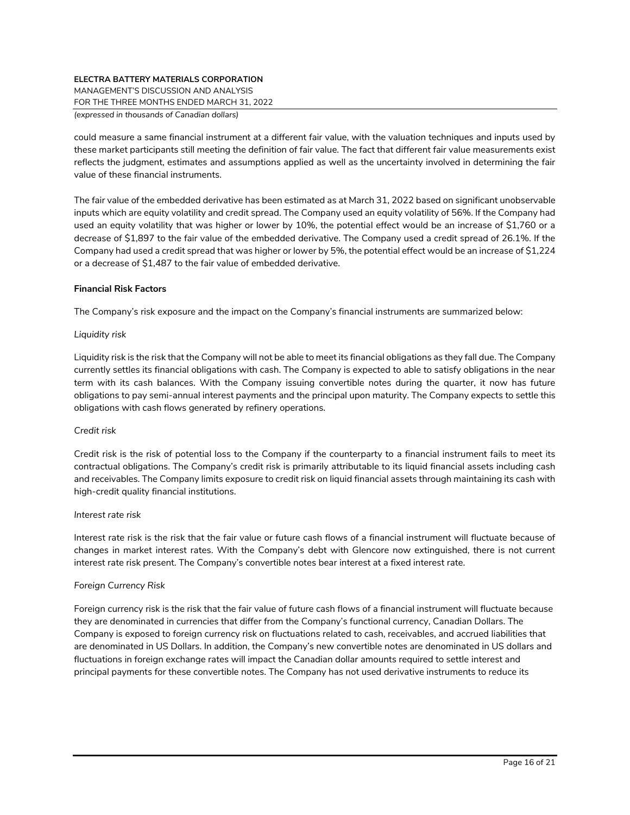MANAGEMENT'S DISCUSSION AND ANALYSIS

FOR THE THREE MONTHS ENDED MARCH 31, 2022

*(expressed in thousands of Canadian dollars)*

could measure a same financial instrument at a different fair value, with the valuation techniques and inputs used by these market participants still meeting the definition of fair value. The fact that different fair value measurements exist reflects the judgment, estimates and assumptions applied as well as the uncertainty involved in determining the fair value of these financial instruments.

The fair value of the embedded derivative has been estimated as at March 31, 2022 based on significant unobservable inputs which are equity volatility and credit spread. The Company used an equity volatility of 56%. If the Company had used an equity volatility that was higher or lower by 10%, the potential effect would be an increase of \$1,760 or a decrease of \$1,897 to the fair value of the embedded derivative. The Company used a credit spread of 26.1%. If the Company had used a credit spread that was higher or lower by 5%, the potential effect would be an increase of \$1,224 or a decrease of \$1,487 to the fair value of embedded derivative.

# **Financial Risk Factors**

The Company's risk exposure and the impact on the Company's financial instruments are summarized below:

# *Liquidity risk*

Liquidity risk is the risk that the Company will not be able to meet its financial obligations as they fall due. The Company currently settles its financial obligations with cash. The Company is expected to able to satisfy obligations in the near term with its cash balances. With the Company issuing convertible notes during the quarter, it now has future obligations to pay semi-annual interest payments and the principal upon maturity. The Company expects to settle this obligations with cash flows generated by refinery operations.

## *Credit risk*

Credit risk is the risk of potential loss to the Company if the counterparty to a financial instrument fails to meet its contractual obligations. The Company's credit risk is primarily attributable to its liquid financial assets including cash and receivables. The Company limits exposure to credit risk on liquid financial assets through maintaining its cash with high-credit quality financial institutions.

## *Interest rate risk*

Interest rate risk is the risk that the fair value or future cash flows of a financial instrument will fluctuate because of changes in market interest rates. With the Company's debt with Glencore now extinguished, there is not current interest rate risk present. The Company's convertible notes bear interest at a fixed interest rate.

# *Foreign Currency Risk*

Foreign currency risk is the risk that the fair value of future cash flows of a financial instrument will fluctuate because they are denominated in currencies that differ from the Company's functional currency, Canadian Dollars. The Company is exposed to foreign currency risk on fluctuations related to cash, receivables, and accrued liabilities that are denominated in US Dollars. In addition, the Company's new convertible notes are denominated in US dollars and fluctuations in foreign exchange rates will impact the Canadian dollar amounts required to settle interest and principal payments for these convertible notes. The Company has not used derivative instruments to reduce its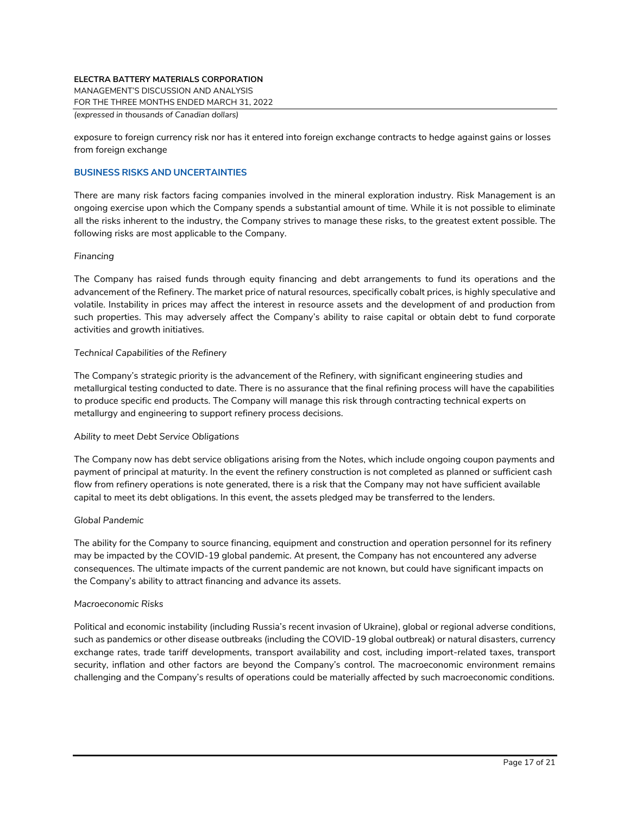MANAGEMENT'S DISCUSSION AND ANALYSIS

FOR THE THREE MONTHS ENDED MARCH 31, 2022

*(expressed in thousands of Canadian dollars)*

exposure to foreign currency risk nor has it entered into foreign exchange contracts to hedge against gains or losses from foreign exchange

#### **BUSINESS RISKS AND UNCERTAINTIES**

There are many risk factors facing companies involved in the mineral exploration industry. Risk Management is an ongoing exercise upon which the Company spends a substantial amount of time. While it is not possible to eliminate all the risks inherent to the industry, the Company strives to manage these risks, to the greatest extent possible. The following risks are most applicable to the Company.

#### *Financing*

The Company has raised funds through equity financing and debt arrangements to fund its operations and the advancement of the Refinery. The market price of natural resources, specifically cobalt prices, is highly speculative and volatile. Instability in prices may affect the interest in resource assets and the development of and production from such properties. This may adversely affect the Company's ability to raise capital or obtain debt to fund corporate activities and growth initiatives.

#### *Technical Capabilities of the Refinery*

The Company's strategic priority is the advancement of the Refinery, with significant engineering studies and metallurgical testing conducted to date. There is no assurance that the final refining process will have the capabilities to produce specific end products. The Company will manage this risk through contracting technical experts on metallurgy and engineering to support refinery process decisions.

## *Ability to meet Debt Service Obligations*

The Company now has debt service obligations arising from the Notes, which include ongoing coupon payments and payment of principal at maturity. In the event the refinery construction is not completed as planned or sufficient cash flow from refinery operations is note generated, there is a risk that the Company may not have sufficient available capital to meet its debt obligations. In this event, the assets pledged may be transferred to the lenders.

#### *Global Pandemic*

The ability for the Company to source financing, equipment and construction and operation personnel for its refinery may be impacted by the COVID-19 global pandemic. At present, the Company has not encountered any adverse consequences. The ultimate impacts of the current pandemic are not known, but could have significant impacts on the Company's ability to attract financing and advance its assets.

#### *Macroeconomic Risks*

Political and economic instability (including Russia's recent invasion of Ukraine), global or regional adverse conditions, such as pandemics or other disease outbreaks (including the COVID-19 global outbreak) or natural disasters, currency exchange rates, trade tariff developments, transport availability and cost, including import-related taxes, transport security, inflation and other factors are beyond the Company's control. The macroeconomic environment remains challenging and the Company's results of operations could be materially affected by such macroeconomic conditions.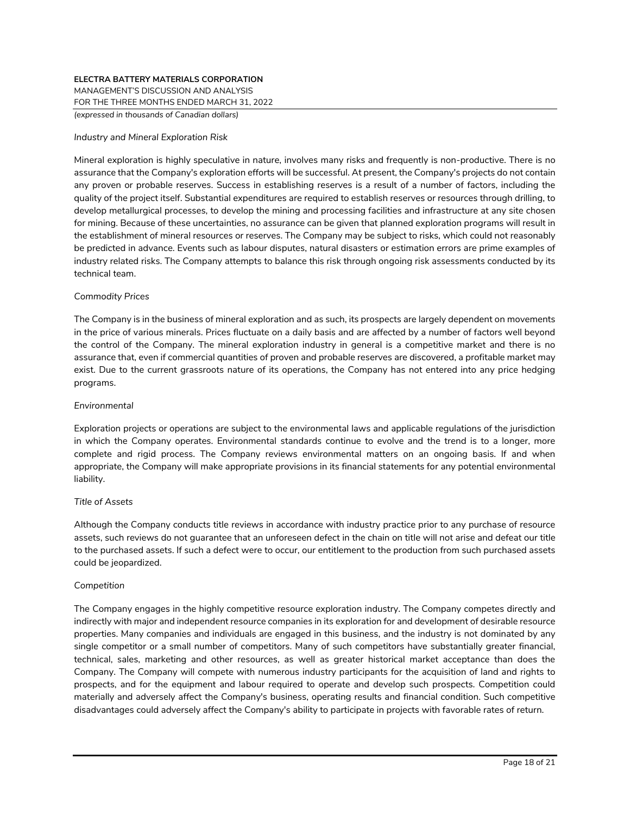MANAGEMENT'S DISCUSSION AND ANALYSIS

FOR THE THREE MONTHS ENDED MARCH 31, 2022

*(expressed in thousands of Canadian dollars)*

#### *Industry and Mineral Exploration Risk*

Mineral exploration is highly speculative in nature, involves many risks and frequently is non-productive. There is no assurance that the Company's exploration efforts will be successful. At present, the Company's projects do not contain any proven or probable reserves. Success in establishing reserves is a result of a number of factors, including the quality of the project itself. Substantial expenditures are required to establish reserves or resources through drilling, to develop metallurgical processes, to develop the mining and processing facilities and infrastructure at any site chosen for mining. Because of these uncertainties, no assurance can be given that planned exploration programs will result in the establishment of mineral resources or reserves. The Company may be subject to risks, which could not reasonably be predicted in advance. Events such as labour disputes, natural disasters or estimation errors are prime examples of industry related risks. The Company attempts to balance this risk through ongoing risk assessments conducted by its technical team.

## *Commodity Prices*

The Company is in the business of mineral exploration and as such, its prospects are largely dependent on movements in the price of various minerals. Prices fluctuate on a daily basis and are affected by a number of factors well beyond the control of the Company. The mineral exploration industry in general is a competitive market and there is no assurance that, even if commercial quantities of proven and probable reserves are discovered, a profitable market may exist. Due to the current grassroots nature of its operations, the Company has not entered into any price hedging programs.

## *Environmental*

Exploration projects or operations are subject to the environmental laws and applicable regulations of the jurisdiction in which the Company operates. Environmental standards continue to evolve and the trend is to a longer, more complete and rigid process. The Company reviews environmental matters on an ongoing basis. If and when appropriate, the Company will make appropriate provisions in its financial statements for any potential environmental liability.

## *Title of Assets*

Although the Company conducts title reviews in accordance with industry practice prior to any purchase of resource assets, such reviews do not guarantee that an unforeseen defect in the chain on title will not arise and defeat our title to the purchased assets. If such a defect were to occur, our entitlement to the production from such purchased assets could be jeopardized.

## *Competition*

The Company engages in the highly competitive resource exploration industry. The Company competes directly and indirectly with major and independent resource companies in its exploration for and development of desirable resource properties. Many companies and individuals are engaged in this business, and the industry is not dominated by any single competitor or a small number of competitors. Many of such competitors have substantially greater financial, technical, sales, marketing and other resources, as well as greater historical market acceptance than does the Company. The Company will compete with numerous industry participants for the acquisition of land and rights to prospects, and for the equipment and labour required to operate and develop such prospects. Competition could materially and adversely affect the Company's business, operating results and financial condition. Such competitive disadvantages could adversely affect the Company's ability to participate in projects with favorable rates of return.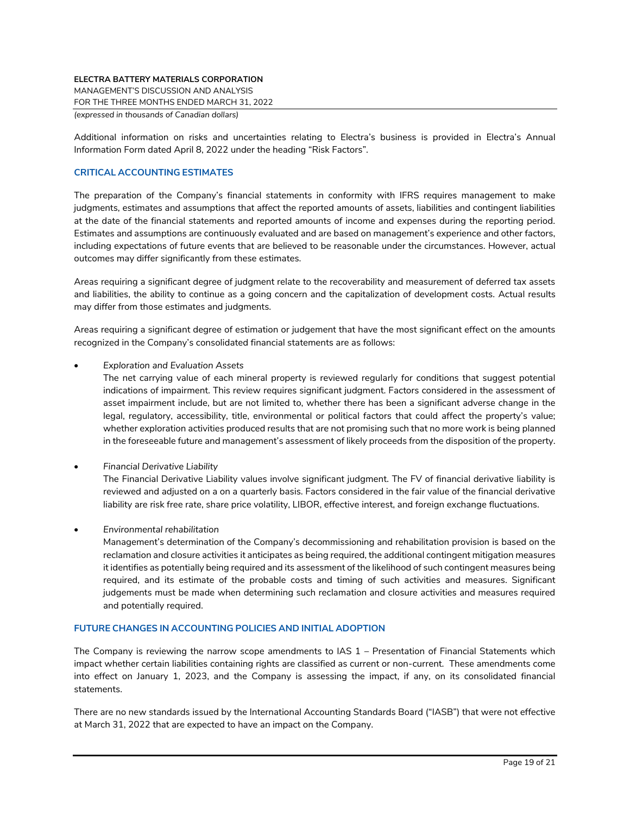MANAGEMENT'S DISCUSSION AND ANALYSIS

FOR THE THREE MONTHS ENDED MARCH 31, 2022

*(expressed in thousands of Canadian dollars)*

Additional information on risks and uncertainties relating to Electra's business is provided in Electra's Annual Information Form dated April 8, 2022 under the heading "Risk Factors".

# **CRITICAL ACCOUNTING ESTIMATES**

The preparation of the Company's financial statements in conformity with IFRS requires management to make judgments, estimates and assumptions that affect the reported amounts of assets, liabilities and contingent liabilities at the date of the financial statements and reported amounts of income and expenses during the reporting period. Estimates and assumptions are continuously evaluated and are based on management's experience and other factors, including expectations of future events that are believed to be reasonable under the circumstances. However, actual outcomes may differ significantly from these estimates.

Areas requiring a significant degree of judgment relate to the recoverability and measurement of deferred tax assets and liabilities, the ability to continue as a going concern and the capitalization of development costs. Actual results may differ from those estimates and judgments.

Areas requiring a significant degree of estimation or judgement that have the most significant effect on the amounts recognized in the Company's consolidated financial statements are as follows:

• *Exploration and Evaluation Assets*

The net carrying value of each mineral property is reviewed regularly for conditions that suggest potential indications of impairment. This review requires significant judgment. Factors considered in the assessment of asset impairment include, but are not limited to, whether there has been a significant adverse change in the legal, regulatory, accessibility, title, environmental or political factors that could affect the property's value; whether exploration activities produced results that are not promising such that no more work is being planned in the foreseeable future and management's assessment of likely proceeds from the disposition of the property.

• *Financial Derivative Liability*

The Financial Derivative Liability values involve significant judgment. The FV of financial derivative liability is reviewed and adjusted on a on a quarterly basis. Factors considered in the fair value of the financial derivative liability are risk free rate, share price volatility, LIBOR, effective interest, and foreign exchange fluctuations.

• *Environmental rehabilitation*

Management's determination of the Company's decommissioning and rehabilitation provision is based on the reclamation and closure activities it anticipates as being required, the additional contingent mitigation measures it identifies as potentially being required and its assessment of the likelihood of such contingent measures being required, and its estimate of the probable costs and timing of such activities and measures. Significant judgements must be made when determining such reclamation and closure activities and measures required and potentially required.

# **FUTURE CHANGES IN ACCOUNTING POLICIES AND INITIAL ADOPTION**

The Company is reviewing the narrow scope amendments to IAS 1 – Presentation of Financial Statements which impact whether certain liabilities containing rights are classified as current or non-current. These amendments come into effect on January 1, 2023, and the Company is assessing the impact, if any, on its consolidated financial statements.

There are no new standards issued by the International Accounting Standards Board ("IASB") that were not effective at March 31, 2022 that are expected to have an impact on the Company.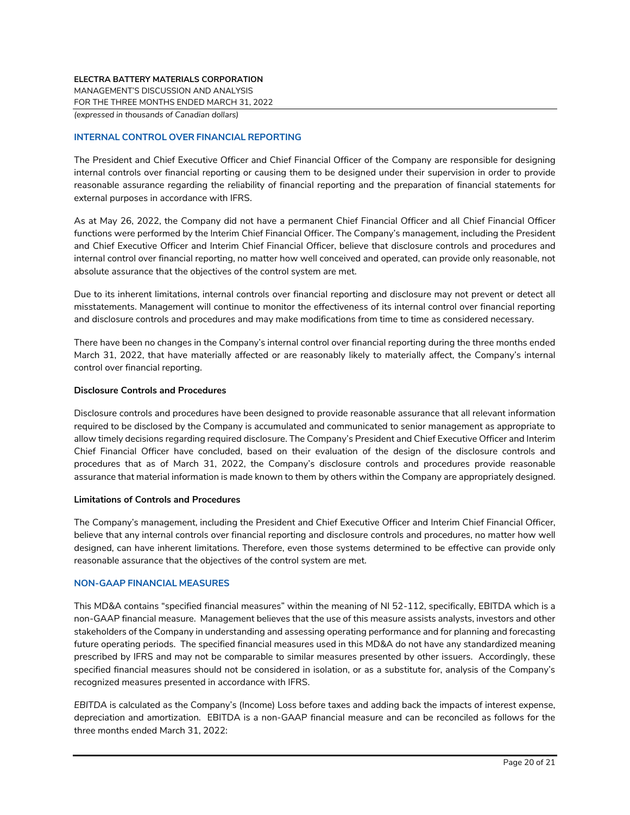MANAGEMENT'S DISCUSSION AND ANALYSIS

FOR THE THREE MONTHS ENDED MARCH 31, 2022

*(expressed in thousands of Canadian dollars)*

# **INTERNAL CONTROL OVER FINANCIAL REPORTING**

The President and Chief Executive Officer and Chief Financial Officer of the Company are responsible for designing internal controls over financial reporting or causing them to be designed under their supervision in order to provide reasonable assurance regarding the reliability of financial reporting and the preparation of financial statements for external purposes in accordance with IFRS.

As at May 26, 2022, the Company did not have a permanent Chief Financial Officer and all Chief Financial Officer functions were performed by the Interim Chief Financial Officer. The Company's management, including the President and Chief Executive Officer and Interim Chief Financial Officer, believe that disclosure controls and procedures and internal control over financial reporting, no matter how well conceived and operated, can provide only reasonable, not absolute assurance that the objectives of the control system are met.

Due to its inherent limitations, internal controls over financial reporting and disclosure may not prevent or detect all misstatements. Management will continue to monitor the effectiveness of its internal control over financial reporting and disclosure controls and procedures and may make modifications from time to time as considered necessary.

There have been no changes in the Company's internal control over financial reporting during the three months ended March 31, 2022, that have materially affected or are reasonably likely to materially affect, the Company's internal control over financial reporting.

## **Disclosure Controls and Procedures**

Disclosure controls and procedures have been designed to provide reasonable assurance that all relevant information required to be disclosed by the Company is accumulated and communicated to senior management as appropriate to allow timely decisions regarding required disclosure. The Company's President and Chief Executive Officer and Interim Chief Financial Officer have concluded, based on their evaluation of the design of the disclosure controls and procedures that as of March 31, 2022, the Company's disclosure controls and procedures provide reasonable assurance that material information is made known to them by others within the Company are appropriately designed.

## **Limitations of Controls and Procedures**

The Company's management, including the President and Chief Executive Officer and Interim Chief Financial Officer, believe that any internal controls over financial reporting and disclosure controls and procedures, no matter how well designed, can have inherent limitations. Therefore, even those systems determined to be effective can provide only reasonable assurance that the objectives of the control system are met.

## **NON-GAAP FINANCIAL MEASURES**

This MD&A contains "specified financial measures" within the meaning of NI 52-112, specifically, EBITDA which is a non-GAAP financial measure. Management believes that the use of this measure assists analysts, investors and other stakeholders of the Company in understanding and assessing operating performance and for planning and forecasting future operating periods. The specified financial measures used in this MD&A do not have any standardized meaning prescribed by IFRS and may not be comparable to similar measures presented by other issuers. Accordingly, these specified financial measures should not be considered in isolation, or as a substitute for, analysis of the Company's recognized measures presented in accordance with IFRS.

*EBITDA* is calculated as the Company's (Income) Loss before taxes and adding back the impacts of interest expense, depreciation and amortization. EBITDA is a non-GAAP financial measure and can be reconciled as follows for the three months ended March 31, 2022: